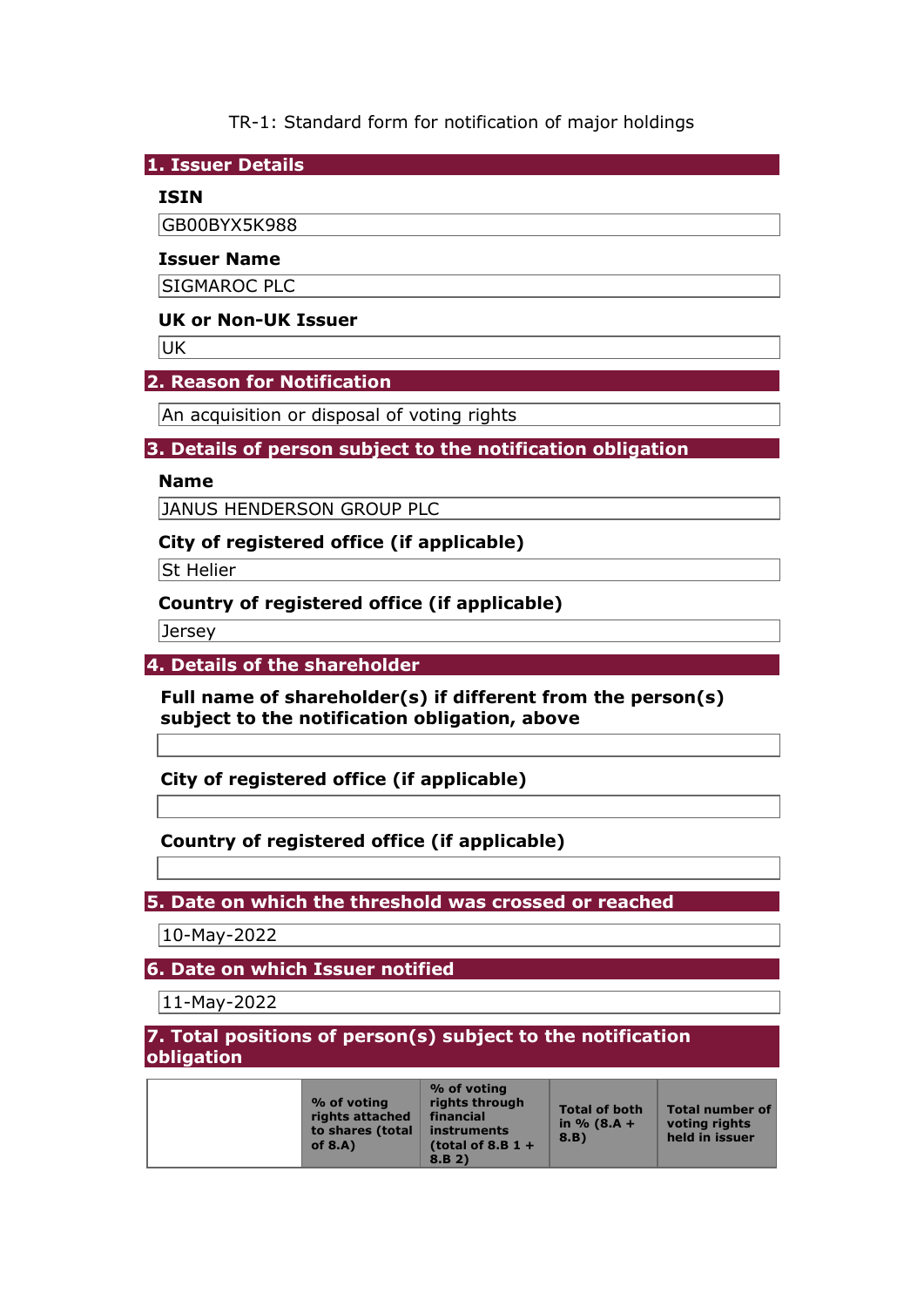TR-1: Standard form for notification of major holdings

**1. Issuer Details** 

### **ISIN**

GB00BYX5K988

#### **Issuer Name**

SIGMAROC PLC

### **UK or Non-UK Issuer**

**UK** 

### **2. Reason for Notification**

An acquisition or disposal of voting rights

#### **3. Details of person subject to the notification obligation**

#### **Name**

JANUS HENDERSON GROUP PLC

### **City of registered office (if applicable)**

**St Helier** 

## **Country of registered office (if applicable)**

Jersey

#### **4. Details of the shareholder**

**Full name of shareholder(s) if different from the person(s) subject to the notification obligation, above** 

**City of registered office (if applicable)** 

# **Country of registered office (if applicable)**

**5. Date on which the threshold was crossed or reached** 

10-May-2022

**6. Date on which Issuer notified** 

11-May-2022

### **7. Total positions of person(s) subject to the notification obligation**

|  | % of voting<br>rights attached<br>to shares (total<br>of $8.A$ ) | % of voting<br>rights through<br>financial<br>instruments<br>(total of 8.B $1 +$ | <b>Total of both</b><br>in $% (8.A +$<br>8.B | Total number of<br>voting rights<br>held in issuer |
|--|------------------------------------------------------------------|----------------------------------------------------------------------------------|----------------------------------------------|----------------------------------------------------|
|  |                                                                  | 8.B 2)                                                                           |                                              |                                                    |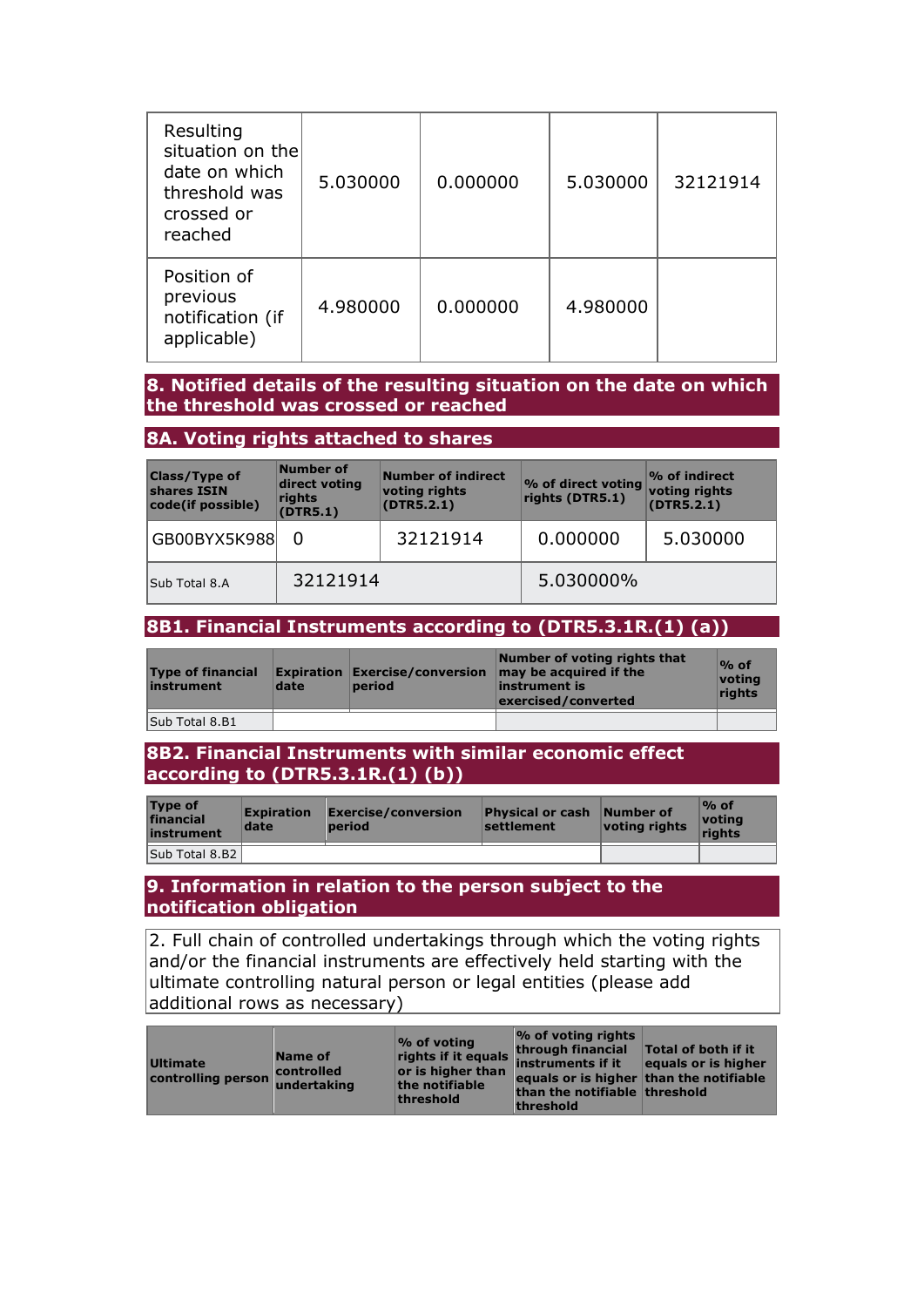| Resulting<br>situation on the<br>date on which<br>threshold was<br>crossed or<br>reached | 5.030000 | 0.000000 | 5.030000 | 32121914 |
|------------------------------------------------------------------------------------------|----------|----------|----------|----------|
| Position of<br>previous<br>notification (if<br>applicable)                               | 4.980000 | 0.000000 | 4.980000 |          |

### **8. Notified details of the resulting situation on the date on which the threshold was crossed or reached**

### **8A. Voting rights attached to shares**

| <b>Class/Type of</b><br>shares ISIN<br>code(if possible) | Number of<br>direct voting<br>rights<br>(DTR5.1) | Number of indirect<br>voting rights<br>(DTR5.2.1) | % of direct voting<br>rights (DTR5.1) | $\mathcal{P}_0$ of indirect<br>voting rights<br>(DTR5.2.1) |
|----------------------------------------------------------|--------------------------------------------------|---------------------------------------------------|---------------------------------------|------------------------------------------------------------|
| GB00BYX5K988                                             | 0                                                | 32121914                                          | 0.000000                              | 5.030000                                                   |
| Sub Total 8.A                                            | 32121914                                         |                                                   | 5.030000%                             |                                                            |

# **8B1. Financial Instruments according to (DTR5.3.1R.(1) (a))**

| <b>Type of financial</b><br>instrument | date | period | Number of voting rights that<br><b>Expiration Exercise/conversion <math>\vert</math> may be acquired if the</b><br>linstrument is<br>exercised/converted | $\%$ of<br>votina<br><b>rights</b> |
|----------------------------------------|------|--------|----------------------------------------------------------------------------------------------------------------------------------------------------------|------------------------------------|
| Sub Total 8.B1                         |      |        |                                                                                                                                                          |                                    |

#### **8B2. Financial Instruments with similar economic effect according to (DTR5.3.1R.(1) (b))**

| <b>Type of</b><br>financial<br>instrument | <b>Expiration</b><br>date | Exercise/conversion<br><b>period</b> | <b>Physical or cash Number of</b><br>settlement | voting rights | $\%$ of<br>votina<br>riahts |
|-------------------------------------------|---------------------------|--------------------------------------|-------------------------------------------------|---------------|-----------------------------|
| Sub Total 8.B2                            |                           |                                      |                                                 |               |                             |

### **9. Information in relation to the person subject to the notification obligation**

2. Full chain of controlled undertakings through which the voting rights and/or the financial instruments are effectively held starting with the ultimate controlling natural person or legal entities (please add additional rows as necessary)

| Name of<br><b>Ultimate</b><br>controlled<br>controlling person undertaking | $\frac{1}{2}$ of voting<br>or is higher than<br>the notifiable<br>threshold | $\frac{1}{2}$ of voting rights<br>rights if it equals through financial<br>equals or is higher than the notifiable<br>than the notifiable threshold<br><b>threshold</b> | <b>Total of both if it</b><br>equals or is higher |
|----------------------------------------------------------------------------|-----------------------------------------------------------------------------|-------------------------------------------------------------------------------------------------------------------------------------------------------------------------|---------------------------------------------------|
|----------------------------------------------------------------------------|-----------------------------------------------------------------------------|-------------------------------------------------------------------------------------------------------------------------------------------------------------------------|---------------------------------------------------|